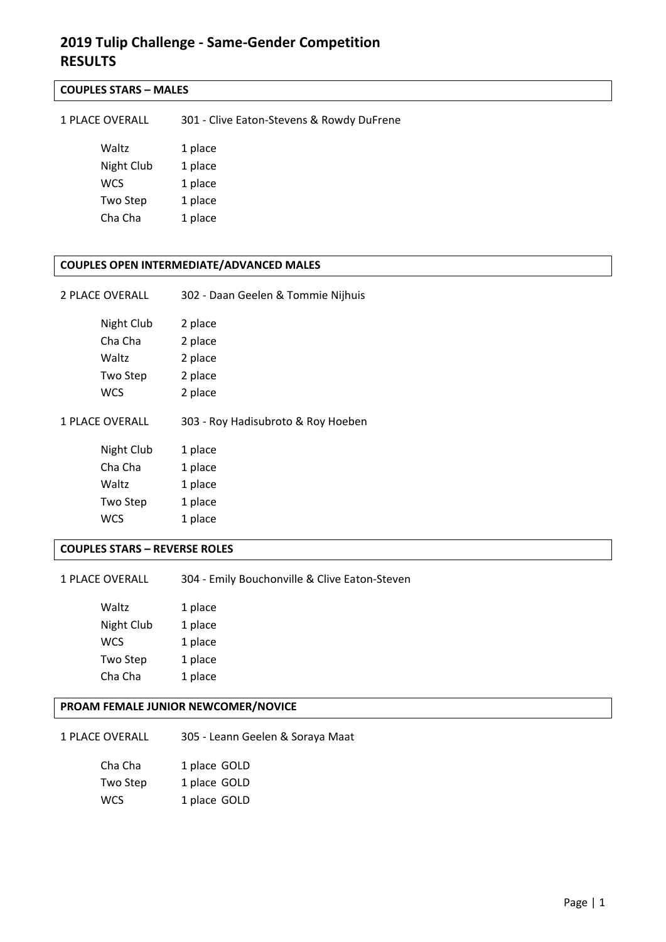## **COUPLES STARS – MALES**

| <b>1 PLACE OVERALL</b> | 301 - Clive Eaton-Stevens & Rowdy DuFrene |
|------------------------|-------------------------------------------|
| Waltz                  | 1 place                                   |
| Night Club             | 1 place                                   |
| <b>WCS</b>             | 1 place                                   |
| Two Step               | 1 place                                   |
| Cha Cha                | 1 place                                   |

### **COUPLES OPEN INTERMEDIATE/ADVANCED MALES**

| 2 PLACE OVERALL        | 302 - Daan Geelen & Tommie Nijhuis |
|------------------------|------------------------------------|
| Night Club             | 2 place                            |
| Cha Cha                | 2 place                            |
| Waltz                  | 2 place                            |
| Two Step               | 2 place                            |
| wcs                    | 2 place                            |
|                        |                                    |
| <b>1 PLACE OVERALL</b> | 303 - Roy Hadisubroto & Roy Hoeben |
| Night Club             | 1 place                            |
| Cha Cha                | 1 place                            |
| Waltz                  | 1 place                            |
| Two Step               | 1 place                            |

#### **COUPLES STARS – REVERSE ROLES**

1 PLACE OVERALL 304 - Emily Bouchonville & Clive Eaton-Steven

Waltz 1 place Night Club 1 place WCS 1 place Two Step 1 place Cha Cha 1 place

## **PROAM FEMALE JUNIOR NEWCOMER/NOVICE**

1 PLACE OVERALL 305 ‐ Leann Geelen & Soraya Maat

| Cha Cha  | 1 place GOLD |
|----------|--------------|
| Two Step | 1 place GOLD |
| wcs      | 1 place GOLD |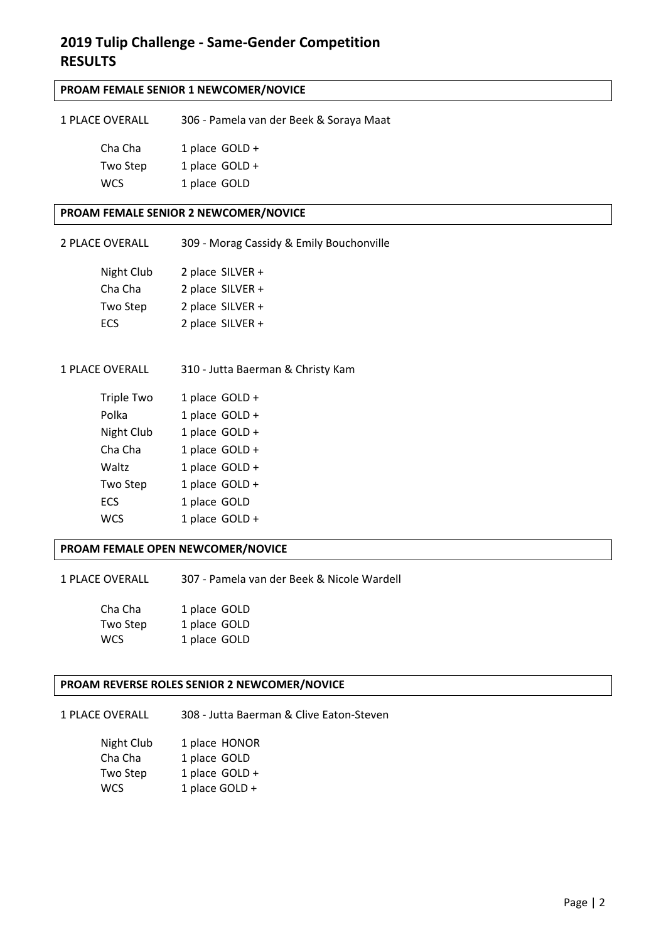## **PROAM FEMALE SENIOR 1 NEWCOMER/NOVICE**

| 1 PLACE OVERALL | 306 - Pamela van der Beek & Soraya Maat |
|-----------------|-----------------------------------------|
| Cha Cha         | 1 place GOLD +                          |
| Two Step        | 1 place $GOLD +$                        |
| <b>WCS</b>      | 1 place GOLD                            |

#### **PROAM FEMALE SENIOR 2 NEWCOMER/NOVICE**

| 2 PLACE OVERALL | 309 - Morag Cassidy & Emily Bouchonville |
|-----------------|------------------------------------------|
| Night Club      | 2 place $SILVER +$                       |
| Cha Cha         | 2 place SILVER +                         |
| Two Step        | 2 place $SILVER +$                       |
| <b>ECS</b>      | 2 place SILVER +                         |

1 PLACE OVERALL 310 ‐ Jutta Baerman & Christy Kam

| Triple Two | 1 place GOLD + |
|------------|----------------|
| Polka      | 1 place GOLD + |
| Night Club | 1 place GOLD + |
| Cha Cha    | 1 place GOLD + |
| Waltz      | 1 place GOLD + |
| Two Step   | 1 place GOLD + |
| ECS        | 1 place GOLD   |
| <b>WCS</b> | 1 place GOLD + |

### **PROAM FEMALE OPEN NEWCOMER/NOVICE**

1 PLACE OVERALL 307 ‐ Pamela van der Beek & Nicole Wardell

| Cha Cha    | 1 place GOLD |
|------------|--------------|
| Two Step   | 1 place GOLD |
| <b>WCS</b> | 1 place GOLD |

#### **PROAM REVERSE ROLES SENIOR 2 NEWCOMER/NOVICE**

1 PLACE OVERALL 308 ‐ Jutta Baerman & Clive Eaton‐Steven

| Night Club | 1 place HONOR  |
|------------|----------------|
| Cha Cha    | 1 place GOLD   |
| Two Step   | 1 place GOLD + |
| <b>WCS</b> | 1 place GOLD + |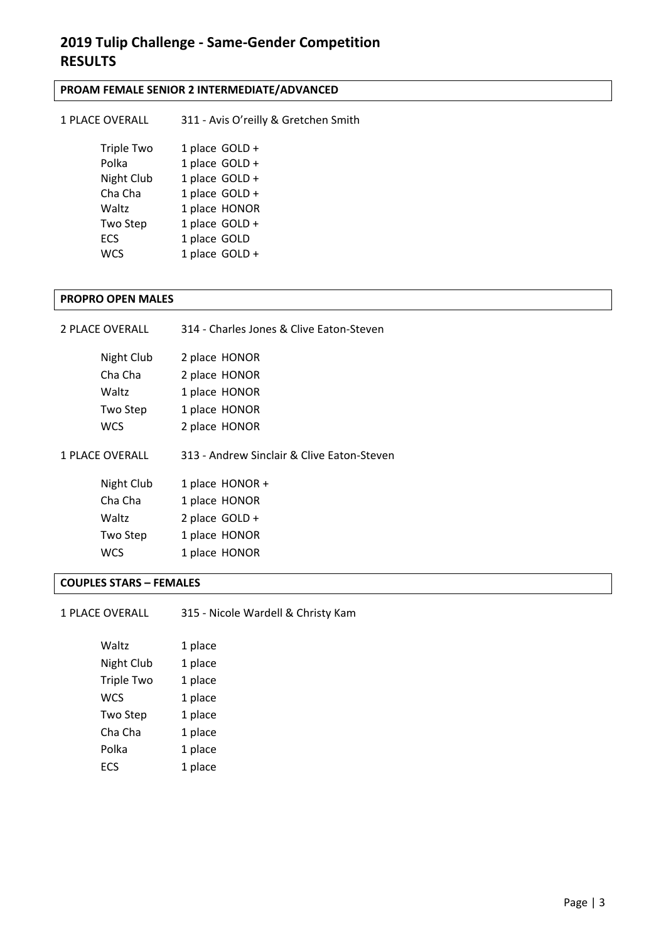## **PROAM FEMALE SENIOR 2 INTERMEDIATE/ADVANCED**

| <b>1 PLACE OVERALL</b> | 311 - Avis O'reilly & Gretchen Smith |
|------------------------|--------------------------------------|
| <b>Triple Two</b>      | 1 place GOLD +                       |
| Polka                  | 1 place GOLD +                       |
| Night Club             | 1 place GOLD +                       |
| Cha Cha                | 1 place GOLD +                       |
| Waltz                  | 1 place HONOR                        |
| Two Step               | 1 place GOLD +                       |
| <b>ECS</b>             | 1 place GOLD                         |
| WCS                    | 1 place GOLD +                       |

#### **PROPRO OPEN MALES**

| <b>2 PLACE OVERALL</b> | 314 - Charles Jones & Clive Eaton-Steven   |
|------------------------|--------------------------------------------|
| Night Club             | 2 place HONOR                              |
| Cha Cha                | 2 place HONOR                              |
| Waltz                  | 1 place HONOR                              |
| Two Step               | 1 place HONOR                              |
| wcs                    | 2 place HONOR                              |
| <b>1 PLACE OVERALL</b> | 313 - Andrew Sinclair & Clive Eaton-Steven |
| Night Club             | 1 place HONOR +                            |
| Cha Cha                | 1 place HONOR                              |
| Waltz                  | 2 place GOLD +                             |
| Two Step               | 1 place HONOR                              |
| WCS                    | 1 place HONOR                              |

## **COUPLES STARS – FEMALES**

| <b>1 PLACE OVERALL</b> | 315 - Nicole Wardell & Christy Kam |
|------------------------|------------------------------------|
|------------------------|------------------------------------|

| Waltz             | 1 place |
|-------------------|---------|
| Night Club        | 1 place |
| <b>Triple Two</b> | 1 place |
| <b>WCS</b>        | 1 place |
| <b>Two Step</b>   | 1 place |
| Cha Cha           | 1 place |
| Polka             | 1 place |
| ECS               | 1 place |
|                   |         |